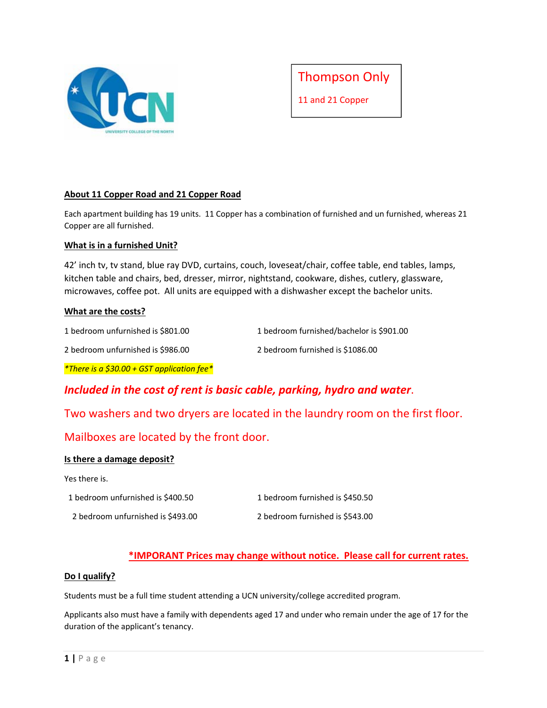



# **About 11 Copper Road and 21 Copper Road**

Each apartment building has 19 units. 11 Copper has a combination of furnished and un furnished, whereas 21 Copper are all furnished.

## **What is in a furnished Unit?**

42' inch tv, tv stand, blue ray DVD, curtains, couch, loveseat/chair, coffee table, end tables, lamps, kitchen table and chairs, bed, dresser, mirror, nightstand, cookware, dishes, cutlery, glassware, microwaves, coffee pot. All units are equipped with a dishwasher except the bachelor units.

## **What are the costs?**

| 1 bedroom unfurnished is \$801.00 | 1 bedroom furnished/bachelor is \$901.00 |
|-----------------------------------|------------------------------------------|
| 2 bedroom unfurnished is \$986.00 | 2 bedroom furnished is \$1086.00         |

*\*There is a \$30.00 + GST application fee\** 

# *Included in the cost of rent is basic cable, parking, hydro and water*.

# Two washers and two dryers are located in the laundry room on the first floor.

# Mailboxes are located by the front door.

# **Is there a damage deposit?**

## Yes there is.

 1 bedroom unfurnished is \$400.50 1 bedroom furnished is \$450.50 2 bedroom unfurnished is \$493.00 2 bedroom furnished is \$543.00

# **\*IMPORANT Prices may change without notice. Please call for current rates.**

## **Do I qualify?**

Students must be a full time student attending a UCN university/college accredited program.

Applicants also must have a family with dependents aged 17 and under who remain under the age of 17 for the duration of the applicant's tenancy.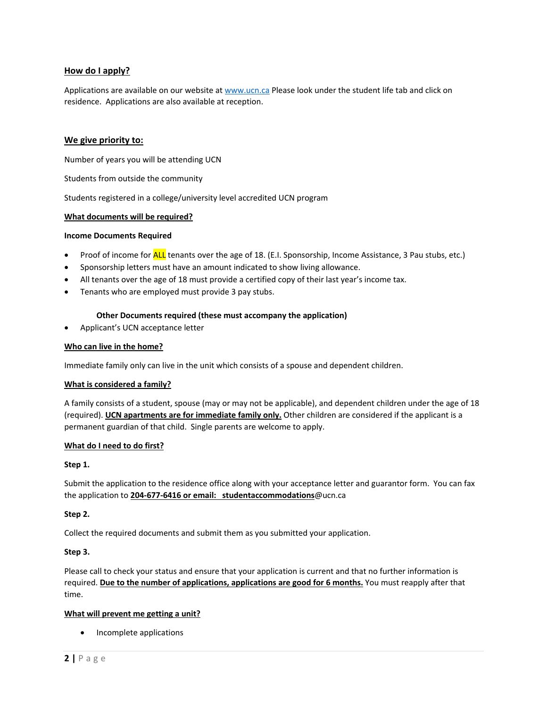## **How do I apply?**

Applications are available on our website at www.ucn.ca Please look under the student life tab and click on residence. Applications are also available at reception.

## **We give priority to:**

Number of years you will be attending UCN

Students from outside the community

Students registered in a college/university level accredited UCN program

#### **What documents will be required?**

#### **Income Documents Required**

- Proof of income for ALL tenants over the age of 18. (E.I. Sponsorship, Income Assistance, 3 Pau stubs, etc.)
- Sponsorship letters must have an amount indicated to show living allowance.
- All tenants over the age of 18 must provide a certified copy of their last year's income tax.
- Tenants who are employed must provide 3 pay stubs.

#### **Other Documents required (these must accompany the application)**

Applicant's UCN acceptance letter

#### **Who can live in the home?**

Immediate family only can live in the unit which consists of a spouse and dependent children.

#### **What is considered a family?**

A family consists of a student, spouse (may or may not be applicable), and dependent children under the age of 18 (required). **UCN apartments are for immediate family only.** Other children are considered if the applicant is a permanent guardian of that child. Single parents are welcome to apply.

#### **What do I need to do first?**

#### **Step 1.**

Submit the application to the residence office along with your acceptance letter and guarantor form. You can fax the application to **204‐677‐6416 or email: studentaccommodations**@ucn.ca

#### **Step 2.**

Collect the required documents and submit them as you submitted your application.

#### **Step 3.**

Please call to check your status and ensure that your application is current and that no further information is required. **Due to the number of applications, applications are good for 6 months.** You must reapply after that time.

#### **What will prevent me getting a unit?**

• Incomplete applications